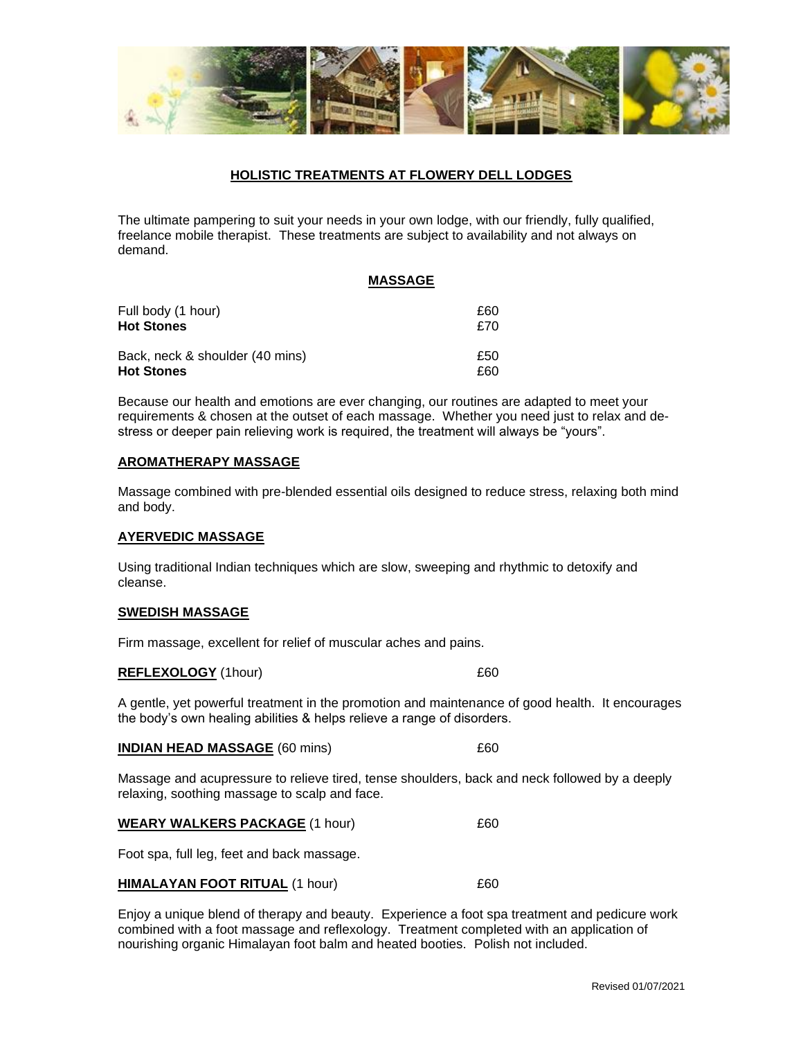

# **HOLISTIC TREATMENTS AT FLOWERY DELL LODGES**

The ultimate pampering to suit your needs in your own lodge, with our friendly, fully qualified, freelance mobile therapist. These treatments are subject to availability and not always on demand.

#### **MASSAGE**

| Full body (1 hour)              | £60 |
|---------------------------------|-----|
| <b>Hot Stones</b>               | £70 |
| Back, neck & shoulder (40 mins) | £50 |
| <b>Hot Stones</b>               | £60 |

Because our health and emotions are ever changing, our routines are adapted to meet your requirements & chosen at the outset of each massage. Whether you need just to relax and destress or deeper pain relieving work is required, the treatment will always be "yours".

#### **AROMATHERAPY MASSAGE**

Massage combined with pre-blended essential oils designed to reduce stress, relaxing both mind and body.

## **AYERVEDIC MASSAGE**

Using traditional Indian techniques which are slow, sweeping and rhythmic to detoxify and cleanse.

#### **SWEDISH MASSAGE**

Firm massage, excellent for relief of muscular aches and pains.

#### **REFLEXOLOGY** (1hour) 660

A gentle, yet powerful treatment in the promotion and maintenance of good health. It encourages the body's own healing abilities & helps relieve a range of disorders.

|  | <b>INDIAN HEAD MASSAGE (60 mins)</b> |  |
|--|--------------------------------------|--|
|--|--------------------------------------|--|

Massage and acupressure to relieve tired, tense shoulders, back and neck followed by a deeply relaxing, soothing massage to scalp and face.

| <b>WEARY WALKERS PACKAGE (1 hour)</b> |  |
|---------------------------------------|--|
|                                       |  |

Foot spa, full leg, feet and back massage.

## **HIMALAYAN FOOT RITUAL** (1 hour) 660

Enjoy a unique blend of therapy and beauty. Experience a foot spa treatment and pedicure work combined with a foot massage and reflexology. Treatment completed with an application of nourishing organic Himalayan foot balm and heated booties. Polish not included.